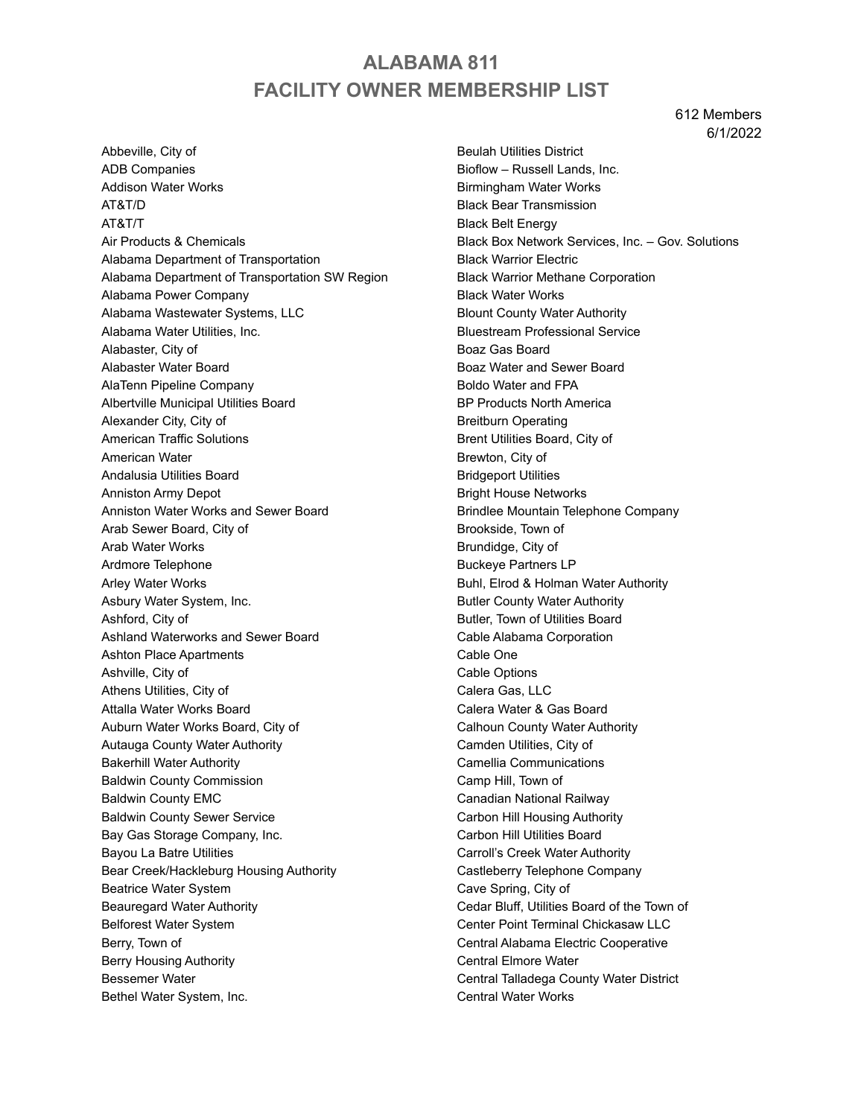# **ALABAMA 811 FACILITY OWNER MEMBERSHIP LIST**

612 Members 6/1/2022

Abbeville, City of ADB Companies Addison Water Works AT&T/D AT&T/T Air Products & Chemicals Alabama Department of Transportation Alabama Department of Transportation SW Region Alabama Power Company Alabama Wastewater Systems, LLC Alabama Water Utilities, Inc. Alabaster, City of Alabaster Water Board AlaTenn Pipeline Company Albertville Municipal Utilities Board Alexander City, City of American Traffic Solutions American Water Andalusia Utilities Board Anniston Army Depot Anniston Water Works and Sewer Board Arab Sewer Board, City of Arab Water Works Ardmore Telephone Arley Water Works Asbury Water System, Inc. Ashford, City of Ashland Waterworks and Sewer Board Ashton Place Apartments Ashville, City of Athens Utilities, City of Attalla Water Works Board Auburn Water Works Board, City of Autauga County Water Authority Bakerhill Water Authority Baldwin County Commission Baldwin County EMC Baldwin County Sewer Service Bay Gas Storage Company, Inc. Bayou La Batre Utilities Bear Creek/Hackleburg Housing Authority Beatrice Water System Beauregard Water Authority Belforest Water System Berry, Town of Berry Housing Authority Bessemer Water Bethel Water System, Inc.

Beulah Utilities District Bioflow – Russell Lands, Inc. Birmingham Water Works Black Bear Transmission Black Belt Energy Black Box Network Services, Inc. – Gov. Solutions Black Warrior Electric Black Warrior Methane Corporation Black Water Works Blount County Water Authority Bluestream Professional Service Boaz Gas Board Boaz Water and Sewer Board Boldo Water and FPA BP Products North America Breitburn Operating Brent Utilities Board, City of Brewton, City of Bridgeport Utilities Bright House Networks Brindlee Mountain Telephone Company Brookside, Town of Brundidge, City of Buckeye Partners LP Buhl, Elrod & Holman Water Authority Butler County Water Authority Butler, Town of Utilities Board Cable Alabama Corporation Cable One Cable Options Calera Gas, LLC Calera Water & Gas Board Calhoun County Water Authority Camden Utilities, City of Camellia Communications Camp Hill, Town of Canadian National Railway Carbon Hill Housing Authority Carbon Hill Utilities Board Carroll's Creek Water Authority Castleberry Telephone Company Cave Spring, City of Cedar Bluff, Utilities Board of the Town of Center Point Terminal Chickasaw LLC Central Alabama Electric Cooperative Central Elmore Water Central Talladega County Water District Central Water Works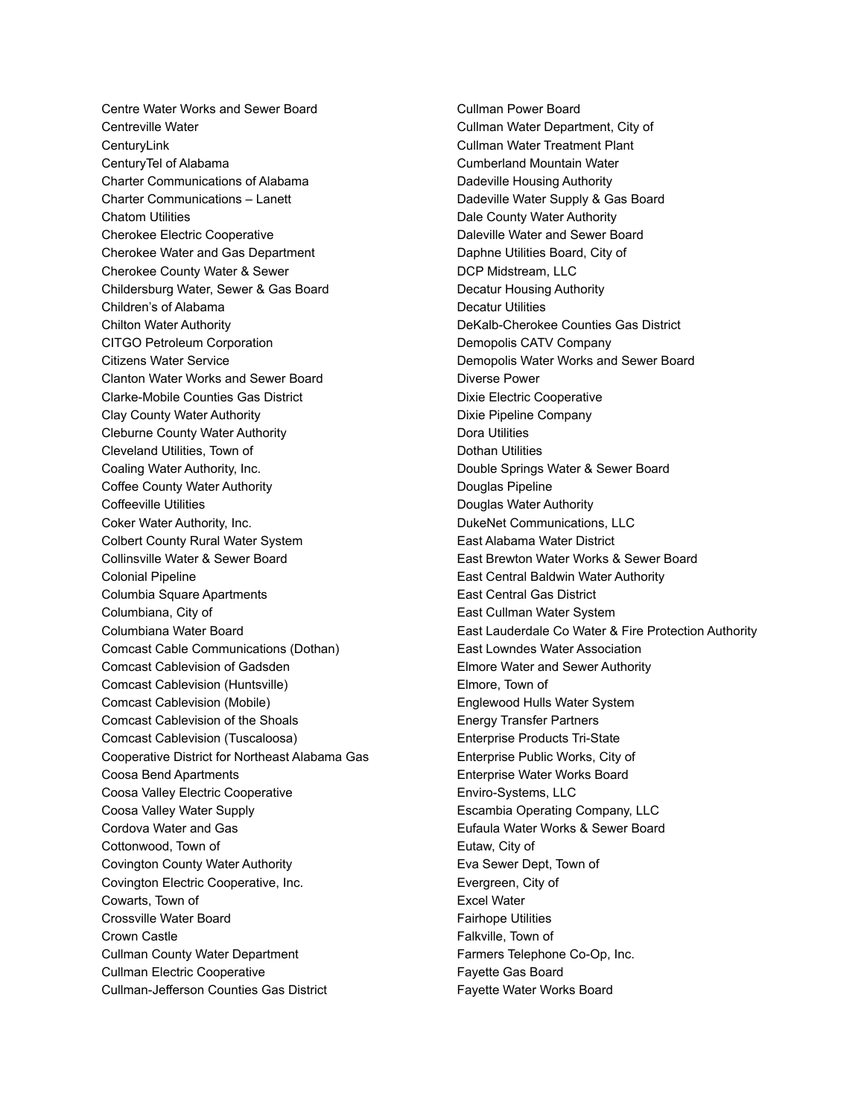Centre Water Works and Sewer Board Centreville Water **CenturyLink** CenturyTel of Alabama Charter Communications of Alabama Charter Communications – Lanett Chatom Utilities Cherokee Electric Cooperative Cherokee Water and Gas Department Cherokee County Water & Sewer Childersburg Water, Sewer & Gas Board Children's of Alabama Chilton Water Authority CITGO Petroleum Corporation Citizens Water Service Clanton Water Works and Sewer Board Clarke-Mobile Counties Gas District Clay County Water Authority Cleburne County Water Authority Cleveland Utilities, Town of Coaling Water Authority, Inc. Coffee County Water Authority Coffeeville Utilities Coker Water Authority, Inc. Colbert County Rural Water System Collinsville Water & Sewer Board Colonial Pipeline Columbia Square Apartments Columbiana, City of Columbiana Water Board Comcast Cable Communications (Dothan) Comcast Cablevision of Gadsden Comcast Cablevision (Huntsville) Comcast Cablevision (Mobile) Comcast Cablevision of the Shoals Comcast Cablevision (Tuscaloosa) Cooperative District for Northeast Alabama Gas Coosa Bend Apartments Coosa Valley Electric Cooperative Coosa Valley Water Supply Cordova Water and Gas Cottonwood, Town of Covington County Water Authority Covington Electric Cooperative, Inc. Cowarts, Town of Crossville Water Board Crown Castle Cullman County Water Department Cullman Electric Cooperative Cullman-Jefferson Counties Gas District

Cullman Power Board Cullman Water Department, City of Cullman Water Treatment Plant Cumberland Mountain Water Dadeville Housing Authority Dadeville Water Supply & Gas Board Dale County Water Authority Daleville Water and Sewer Board Daphne Utilities Board, City of DCP Midstream, LLC Decatur Housing Authority Decatur Utilities DeKalb-Cherokee Counties Gas District Demopolis CATV Company Demopolis Water Works and Sewer Board Diverse Power Dixie Electric Cooperative Dixie Pipeline Company Dora Utilities Dothan Utilities Double Springs Water & Sewer Board Douglas Pipeline Douglas Water Authority DukeNet Communications, LLC East Alabama Water District East Brewton Water Works & Sewer Board East Central Baldwin Water Authority East Central Gas District East Cullman Water System East Lauderdale Co Water & Fire Protection Authority East Lowndes Water Association Elmore Water and Sewer Authority Elmore, Town of Englewood Hulls Water System Energy Transfer Partners Enterprise Products Tri-State Enterprise Public Works, City of Enterprise Water Works Board Enviro-Systems, LLC Escambia Operating Company, LLC Eufaula Water Works & Sewer Board Eutaw, City of Eva Sewer Dept, Town of Evergreen, City of Excel Water Fairhope Utilities Falkville, Town of Farmers Telephone Co-Op, Inc. Fayette Gas Board Fayette Water Works Board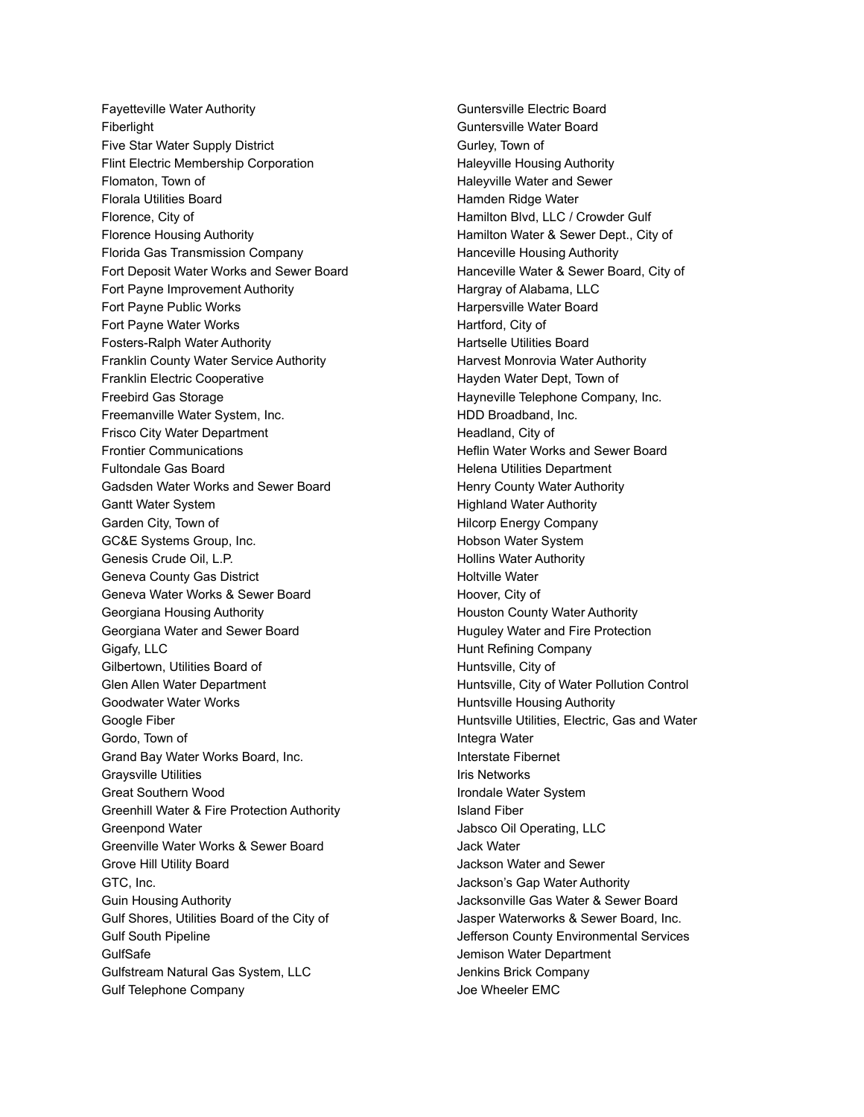Fayetteville Water Authority Fiberlight Five Star Water Supply District Flint Electric Membership Corporation Flomaton, Town of Florala Utilities Board Florence, City of Florence Housing Authority Florida Gas Transmission Company Fort Deposit Water Works and Sewer Board Fort Payne Improvement Authority Fort Payne Public Works Fort Payne Water Works Fosters-Ralph Water Authority Franklin County Water Service Authority Franklin Electric Cooperative Freebird Gas Storage Freemanville Water System, Inc. Frisco City Water Department Frontier Communications Fultondale Gas Board Gadsden Water Works and Sewer Board Gantt Water System Garden City, Town of GC&E Systems Group, Inc. Genesis Crude Oil, L.P. Geneva County Gas District Geneva Water Works & Sewer Board Georgiana Housing Authority Georgiana Water and Sewer Board Gigafy, LLC Gilbertown, Utilities Board of Glen Allen Water Department Goodwater Water Works Google Fiber Gordo, Town of Grand Bay Water Works Board, Inc. Graysville Utilities Great Southern Wood Greenhill Water & Fire Protection Authority Greenpond Water Greenville Water Works & Sewer Board Grove Hill Utility Board GTC, Inc. Guin Housing Authority Gulf Shores, Utilities Board of the City of Gulf South Pipeline GulfSafe Gulfstream Natural Gas System, LLC Gulf Telephone Company

Guntersville Electric Board Guntersville Water Board Gurley, Town of Haleyville Housing Authority Haleyville Water and Sewer Hamden Ridge Water Hamilton Blvd, LLC / Crowder Gulf Hamilton Water & Sewer Dept., City of Hanceville Housing Authority Hanceville Water & Sewer Board, City of Hargray of Alabama, LLC Harpersville Water Board Hartford, City of Hartselle Utilities Board Harvest Monrovia Water Authority Hayden Water Dept, Town of Hayneville Telephone Company, Inc. HDD Broadband, Inc. Headland, City of Heflin Water Works and Sewer Board Helena Utilities Department Henry County Water Authority Highland Water Authority Hilcorp Energy Company Hobson Water System Hollins Water Authority Holtville Water Hoover, City of Houston County Water Authority Huguley Water and Fire Protection Hunt Refining Company Huntsville, City of Huntsville, City of Water Pollution Control Huntsville Housing Authority Huntsville Utilities, Electric, Gas and Water Integra Water Interstate Fibernet Iris Networks Irondale Water System Island Fiber Jabsco Oil Operating, LLC Jack Water Jackson Water and Sewer Jackson's Gap Water Authority Jacksonville Gas Water & Sewer Board Jasper Waterworks & Sewer Board, Inc. Jefferson County Environmental Services Jemison Water Department Jenkins Brick Company Joe Wheeler EMC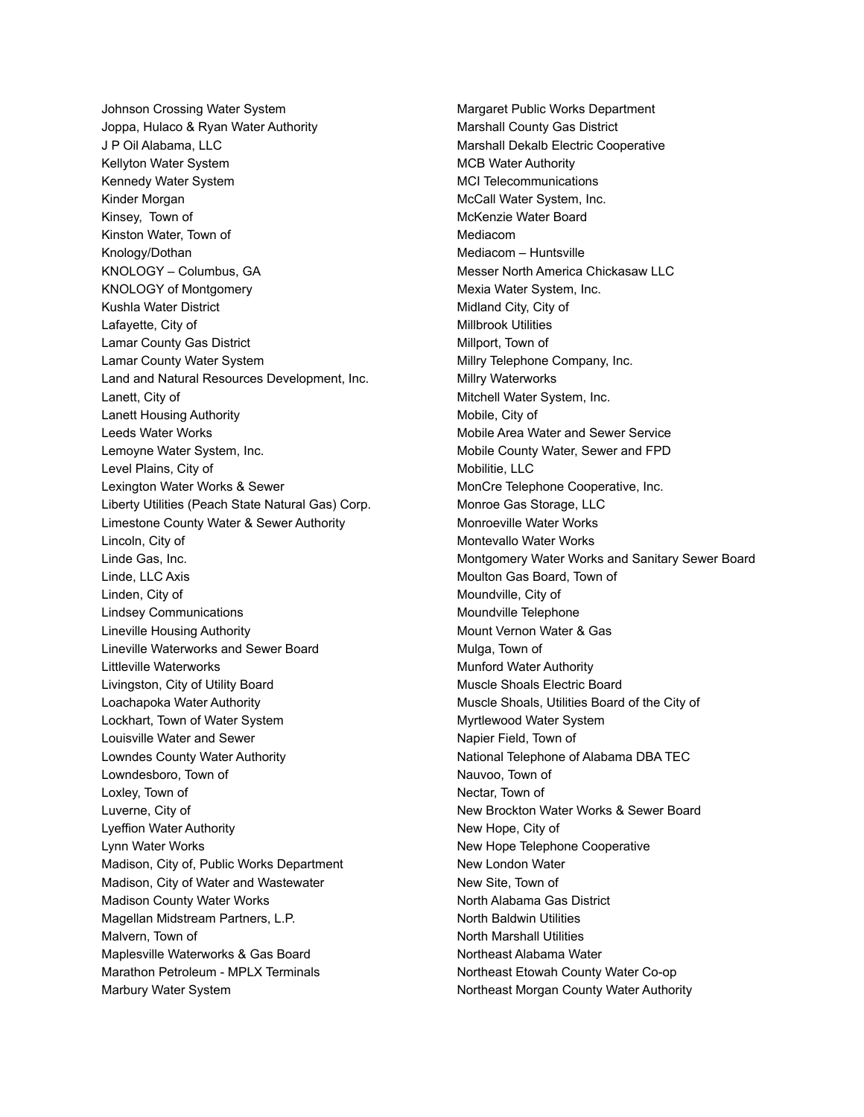Johnson Crossing Water System Joppa, Hulaco & Ryan Water Authority J P Oil Alabama, LLC Kellyton Water System Kennedy Water System Kinder Morgan Kinsey, Town of Kinston Water, Town of Knology/Dothan KNOLOGY – Columbus, GA KNOLOGY of Montgomery Kushla Water District Lafayette, City of Lamar County Gas District Lamar County Water System Land and Natural Resources Development, Inc. Lanett, City of Lanett Housing Authority Leeds Water Works Lemoyne Water System, Inc. Level Plains, City of Lexington Water Works & Sewer Liberty Utilities (Peach State Natural Gas) Corp. Limestone County Water & Sewer Authority Lincoln, City of Linde Gas, Inc. Linde, LLC Axis Linden, City of Lindsey Communications Lineville Housing Authority Lineville Waterworks and Sewer Board Littleville Waterworks Livingston, City of Utility Board Loachapoka Water Authority Lockhart, Town of Water System Louisville Water and Sewer Lowndes County Water Authority Lowndesboro, Town of Loxley, Town of Luverne, City of Lyeffion Water Authority Lynn Water Works Madison, City of, Public Works Department Madison, City of Water and Wastewater Madison County Water Works Magellan Midstream Partners, L.P. Malvern, Town of Maplesville Waterworks & Gas Board Marathon Petroleum - MPLX Terminals Marbury Water System

Margaret Public Works Department Marshall County Gas District Marshall Dekalb Electric Cooperative MCB Water Authority MCI Telecommunications McCall Water System, Inc. McKenzie Water Board Mediacom Mediacom – Huntsville Messer North America Chickasaw LLC Mexia Water System, Inc. Midland City, City of Millbrook Utilities Millport, Town of Millry Telephone Company, Inc. Millry Waterworks Mitchell Water System, Inc. Mobile, City of Mobile Area Water and Sewer Service Mobile County Water, Sewer and FPD Mobilitie, LLC MonCre Telephone Cooperative, Inc. Monroe Gas Storage, LLC Monroeville Water Works Montevallo Water Works Montgomery Water Works and Sanitary Sewer Board Moulton Gas Board, Town of Moundville, City of Moundville Telephone Mount Vernon Water & Gas Mulga, Town of Munford Water Authority Muscle Shoals Electric Board Muscle Shoals, Utilities Board of the City of Myrtlewood Water System Napier Field, Town of National Telephone of Alabama DBA TEC Nauvoo, Town of Nectar, Town of New Brockton Water Works & Sewer Board New Hope, City of New Hope Telephone Cooperative New London Water New Site, Town of North Alabama Gas District North Baldwin Utilities North Marshall Utilities Northeast Alabama Water Northeast Etowah County Water Co-op Northeast Morgan County Water Authority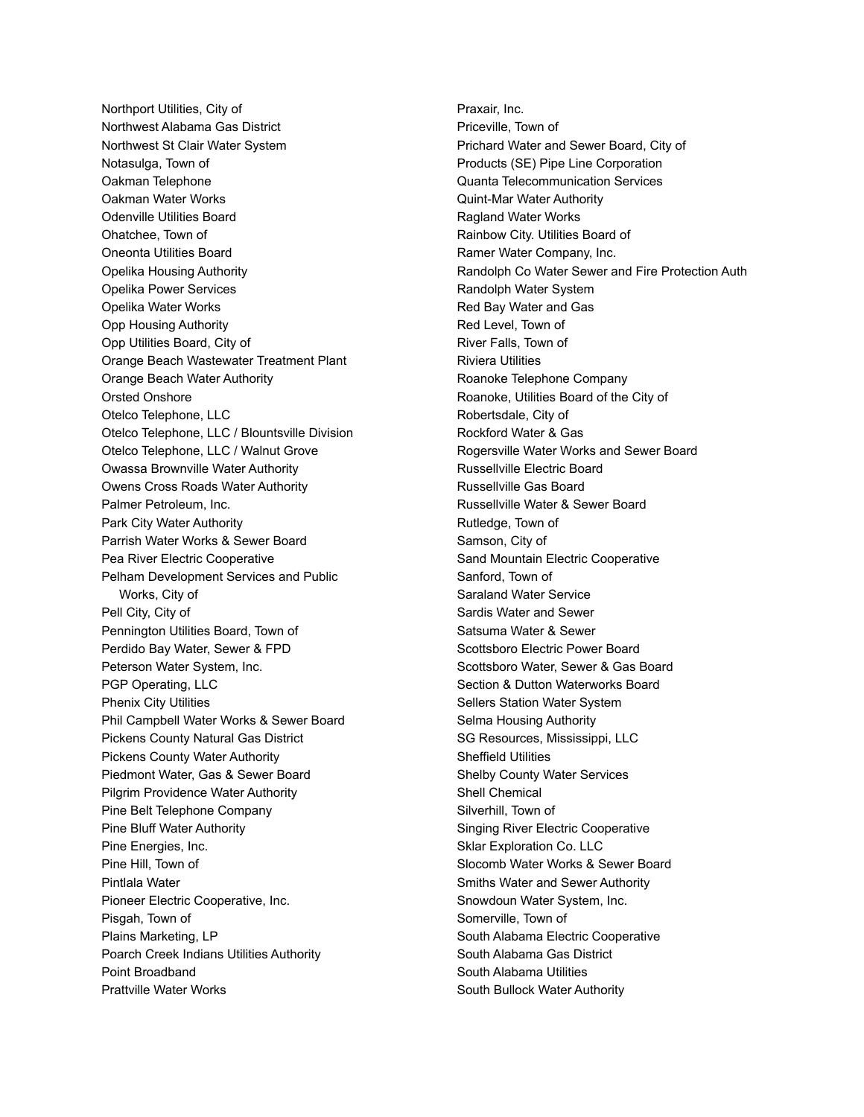Northport Utilities, City of Northwest Alabama Gas District Northwest St Clair Water System Notasulga, Town of Oakman Telephone Oakman Water Works Odenville Utilities Board Ohatchee, Town of Oneonta Utilities Board Opelika Housing Authority Opelika Power Services Opelika Water Works Opp Housing Authority Opp Utilities Board, City of Orange Beach Wastewater Treatment Plant Orange Beach Water Authority Orsted Onshore Otelco Telephone, LLC Otelco Telephone, LLC / Blountsville Division Otelco Telephone, LLC / Walnut Grove Owassa Brownville Water Authority Owens Cross Roads Water Authority Palmer Petroleum, Inc. Park City Water Authority Parrish Water Works & Sewer Board Pea River Electric Cooperative Pelham Development Services and Public Works, City of Pell City, City of Pennington Utilities Board, Town of Perdido Bay Water, Sewer & FPD Peterson Water System, Inc. PGP Operating, LLC Phenix City Utilities Phil Campbell Water Works & Sewer Board Pickens County Natural Gas District Pickens County Water Authority Piedmont Water, Gas & Sewer Board Pilgrim Providence Water Authority Pine Belt Telephone Company Pine Bluff Water Authority Pine Energies, Inc. Pine Hill, Town of Pintlala Water Pioneer Electric Cooperative, Inc. Pisgah, Town of Plains Marketing, LP Poarch Creek Indians Utilities Authority Point Broadband Prattville Water Works

Praxair, Inc. Priceville, Town of Prichard Water and Sewer Board, City of Products (SE) Pipe Line Corporation Quanta Telecommunication Services Quint-Mar Water Authority Ragland Water Works Rainbow City. Utilities Board of Ramer Water Company, Inc. Randolph Co Water Sewer and Fire Protection Auth Randolph Water System Red Bay Water and Gas Red Level, Town of River Falls, Town of Riviera Utilities Roanoke Telephone Company Roanoke, Utilities Board of the City of Robertsdale, City of Rockford Water & Gas Rogersville Water Works and Sewer Board Russellville Electric Board Russellville Gas Board Russellville Water & Sewer Board Rutledge, Town of Samson, City of Sand Mountain Electric Cooperative Sanford, Town of Saraland Water Service Sardis Water and Sewer Satsuma Water & Sewer Scottsboro Electric Power Board Scottsboro Water, Sewer & Gas Board Section & Dutton Waterworks Board Sellers Station Water System Selma Housing Authority SG Resources, Mississippi, LLC Sheffield Utilities Shelby County Water Services Shell Chemical Silverhill, Town of Singing River Electric Cooperative Sklar Exploration Co. LLC Slocomb Water Works & Sewer Board Smiths Water and Sewer Authority Snowdoun Water System, Inc. Somerville, Town of South Alabama Electric Cooperative South Alabama Gas District South Alabama Utilities South Bullock Water Authority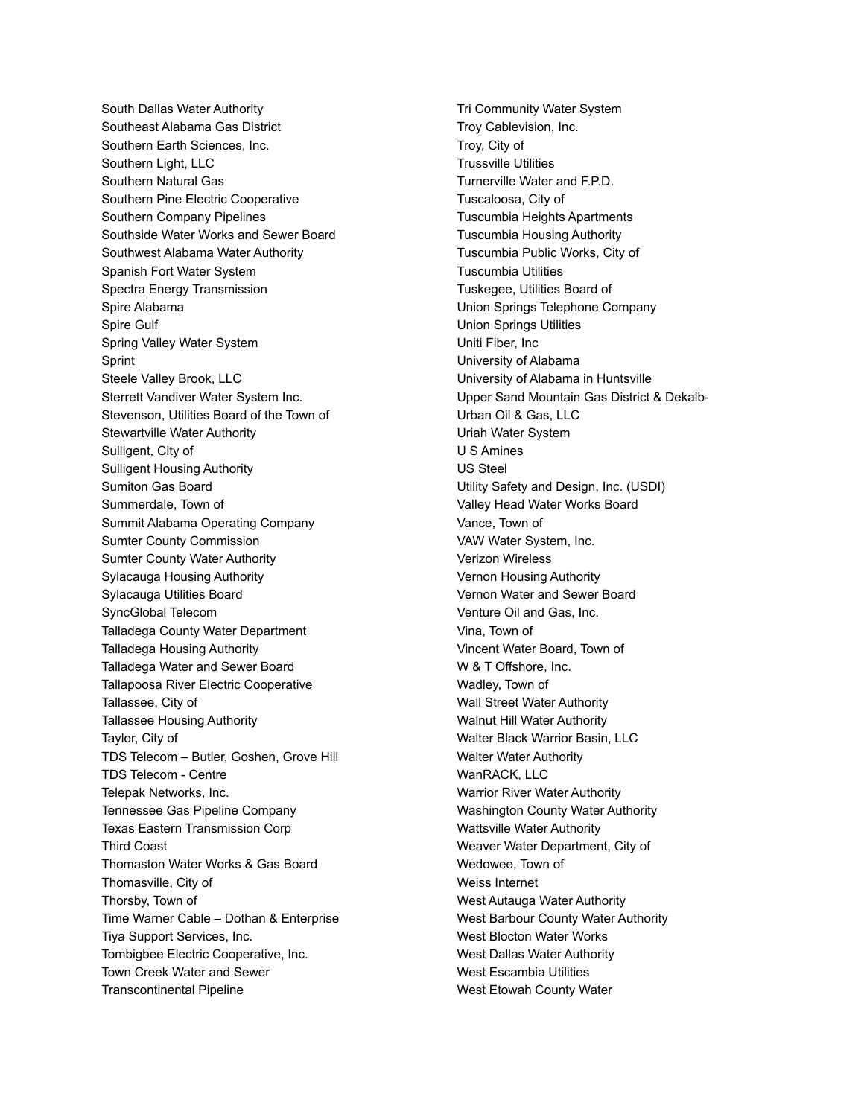South Dallas Water Authority Southeast Alabama Gas District Southern Earth Sciences, Inc. Southern Light, LLC Southern Natural Gas Southern Pine Electric Cooperative Southern Company Pipelines Southside Water Works and Sewer Board Southwest Alabama Water Authority Spanish Fort Water System Spectra Energy Transmission Spire Alabama Spire Gulf Spring Valley Water System Sprint Steele Valley Brook, LLC Sterrett Vandiver Water System Inc. Stevenson, Utilities Board of the Town of Stewartville Water Authority Sulligent, City of Sulligent Housing Authority Sumiton Gas Board Summerdale, Town of Summit Alabama Operating Company Sumter County Commission Sumter County Water Authority Sylacauga Housing Authority Sylacauga Utilities Board SyncGlobal Telecom Talladega County Water Department Talladega Housing Authority Talladega Water and Sewer Board Tallapoosa River Electric Cooperative Tallassee, City of Tallassee Housing Authority Taylor, City of TDS Telecom – Butler, Goshen, Grove Hill TDS Telecom - Centre Telepak Networks, Inc. Tennessee Gas Pipeline Company Texas Eastern Transmission Corp Third Coast Thomaston Water Works & Gas Board Thomasville, City of Thorsby, Town of Time Warner Cable – Dothan & Enterprise Tiya Support Services, Inc. Tombigbee Electric Cooperative, Inc. Town Creek Water and Sewer Transcontinental Pipeline

Tri Community Water System Troy Cablevision, Inc. Troy, City of Trussville Utilities Turnerville Water and F.P.D. Tuscaloosa, City of Tuscumbia Heights Apartments Tuscumbia Housing Authority Tuscumbia Public Works, City of Tuscumbia Utilities Tuskegee, Utilities Board of Union Springs Telephone Company Union Springs Utilities Uniti Fiber, Inc University of Alabama University of Alabama in Huntsville Upper Sand Mountain Gas District & Dekalb-Urban Oil & Gas, LLC Uriah Water System U S Amines US Steel Utility Safety and Design, Inc. (USDI) Valley Head Water Works Board Vance, Town of VAW Water System, Inc. Verizon Wireless Vernon Housing Authority Vernon Water and Sewer Board Venture Oil and Gas, Inc. Vina, Town of Vincent Water Board, Town of W & T Offshore, Inc. Wadley, Town of Wall Street Water Authority Walnut Hill Water Authority Walter Black Warrior Basin, LLC Walter Water Authority WanRACK, LLC Warrior River Water Authority Washington County Water Authority Wattsville Water Authority Weaver Water Department, City of Wedowee, Town of Weiss Internet West Autauga Water Authority West Barbour County Water Authority West Blocton Water Works West Dallas Water Authority West Escambia Utilities West Etowah County Water